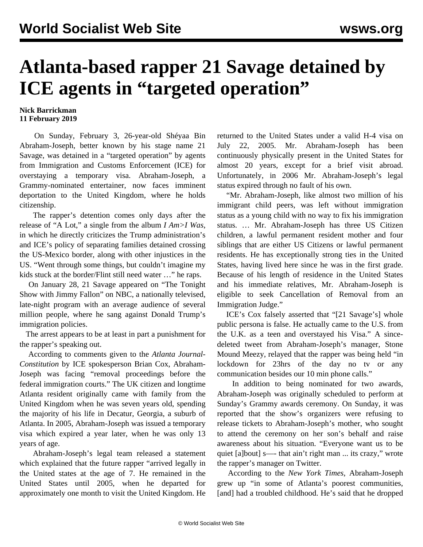## **Atlanta-based rapper 21 Savage detained by ICE agents in "targeted operation"**

## **Nick Barrickman 11 February 2019**

 On Sunday, February 3, 26-year-old Shéyaa Bin Abraham-Joseph, better known by his stage name 21 Savage, was detained in a "targeted operation" by agents from Immigration and Customs Enforcement (ICE) for overstaying a temporary visa. Abraham-Joseph, a Grammy-nominated entertainer, now faces imminent deportation to the United Kingdom, where he holds citizenship.

 The rapper's detention comes only days after the release of ["A Lot,](https://www.youtube.com/watch?v=DmWWqogr_r8)" a single from the album *I Am>I Was*, in which he directly criticizes the Trump administration's and ICE's policy of separating families detained crossing the US-Mexico border, along with other injustices in the US. "Went through some things, but couldn't imagine my kids stuck at the border/Flint still need water …" he raps.

 On January 28, 21 Savage appeared on "The Tonight Show with Jimmy Fallon" on NBC, a nationally televised, late-night program with an average audience of several million people, where he sang against Donald Trump's immigration policies.

 The arrest appears to be at least in part a punishment for the rapper's speaking out.

 According to comments given to the *Atlanta Journal-Constitution* by ICE spokesperson Brian Cox, Abraham-Joseph was facing "removal proceedings before the federal immigration courts." The UK citizen and longtime Atlanta resident originally came with family from the United Kingdom when he was seven years old, spending the majority of his life in Decatur, Georgia, a suburb of Atlanta. In 2005, Abraham-Joseph was issued a temporary visa which expired a year later, when he was only 13 years of age.

 Abraham-Joseph's legal team released a statement which explained that the future rapper "arrived legally in the United states at the age of 7. He remained in the United States until 2005, when he departed for approximately one month to visit the United Kingdom. He

returned to the United States under a valid H-4 visa on July 22, 2005. Mr. Abraham-Joseph has been continuously physically present in the United States for almost 20 years, except for a brief visit abroad. Unfortunately, in 2006 Mr. Abraham-Joseph's legal status expired through no fault of his own.

 "Mr. Abraham-Joseph, like almost two million of his immigrant child peers, was left without immigration status as a young child with no way to fix his immigration status. … Mr. Abraham-Joseph has three US Citizen children, a lawful permanent resident mother and four siblings that are either US Citizens or lawful permanent residents. He has exceptionally strong ties in the United States, having lived here since he was in the first grade. Because of his length of residence in the United States and his immediate relatives, Mr. Abraham-Joseph is eligible to seek Cancellation of Removal from an Immigration Judge."

 ICE's Cox falsely asserted that "[21 Savage's] whole public persona is false. He actually came to the U.S. from the U.K. as a teen and overstayed his Visa." A sincedeleted tweet from Abraham-Joseph's manager, Stone Mound Meezy, relayed that the rapper was being held "in lockdown for 23hrs of the day no tv or any communication besides our 10 min phone calls."

 In addition to being nominated for two awards, Abraham-Joseph was originally scheduled to perform at Sunday's Grammy awards ceremony. On Sunday, it was reported that the show's organizers were refusing to release tickets to Abraham-Joseph's mother, who sought to attend the ceremony on her son's behalf and raise awareness about his situation. "Everyone want us to be quiet [a]bout] s—- that ain't right man ... its crazy," wrote the rapper's manager on Twitter.

 According to the *New York Times*, Abraham-Joseph grew up "in some of Atlanta's poorest communities, [and] had a troubled childhood. He's said that he dropped